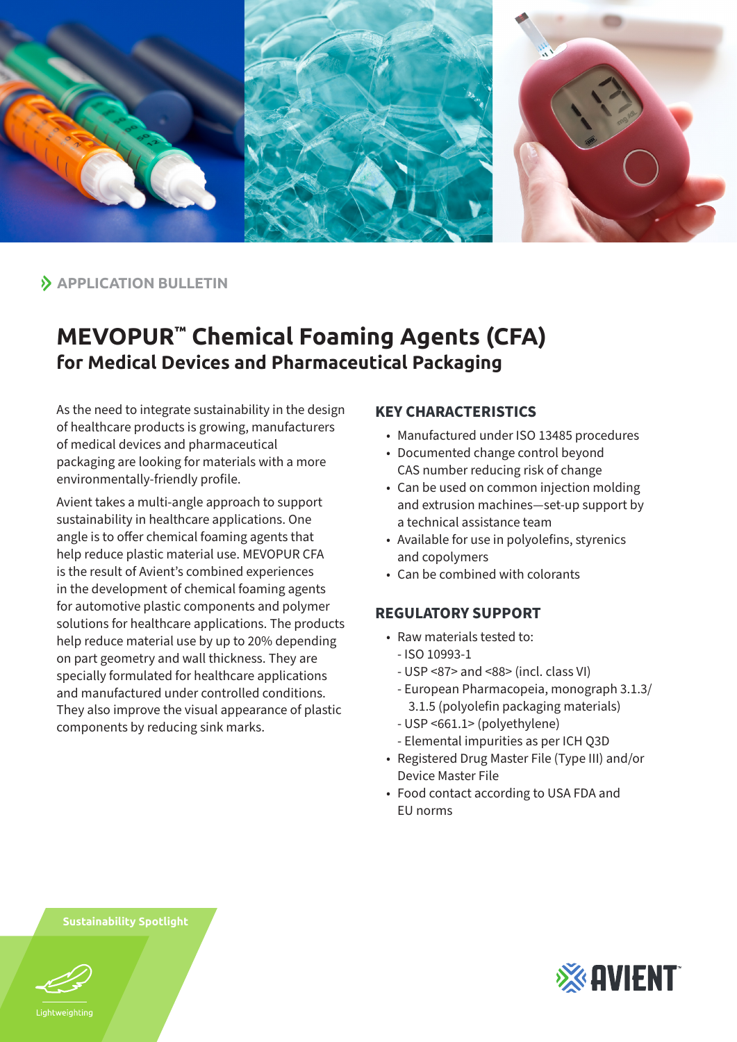

**APPLICATION BULLETIN**

## **MEVOPUR™ Chemical Foaming Agents (CFA) for Medical Devices and Pharmaceutical Packaging**

As the need to integrate sustainability in the design of healthcare products is growing, manufacturers of medical devices and pharmaceutical packaging are looking for materials with a more environmentally-friendly profile.

Avient takes a multi-angle approach to support sustainability in healthcare applications. One angle is to offer chemical foaming agents that help reduce plastic material use. MEVOPUR CFA is the result of Avient's combined experiences in the development of chemical foaming agents for automotive plastic components and polymer solutions for healthcare applications. The products help reduce material use by up to 20% depending on part geometry and wall thickness. They are specially formulated for healthcare applications and manufactured under controlled conditions. They also improve the visual appearance of plastic components by reducing sink marks.

## **KEY CHARACTERISTICS**

- Manufactured under ISO 13485 procedures
- Documented change control beyond CAS number reducing risk of change
- Can be used on common injection molding and extrusion machines—set-up support by a technical assistance team
- Available for use in polyolefins, styrenics and copolymers
- Can be combined with colorants

## **REGULATORY SUPPORT**

- Raw materials tested to:
	- ISO 10993-1
	- USP <87> and <88> (incl. class VI)
	- European Pharmacopeia, monograph 3.1.3/ 3.1.5 (polyolefin packaging materials)
	- USP <661.1> (polyethylene)
	- Elemental impurities as per ICH Q3D
- Registered Drug Master File (Type III) and/or Device Master File
- Food contact according to USA FDA and EU norms

**Sustainability Spotlight**